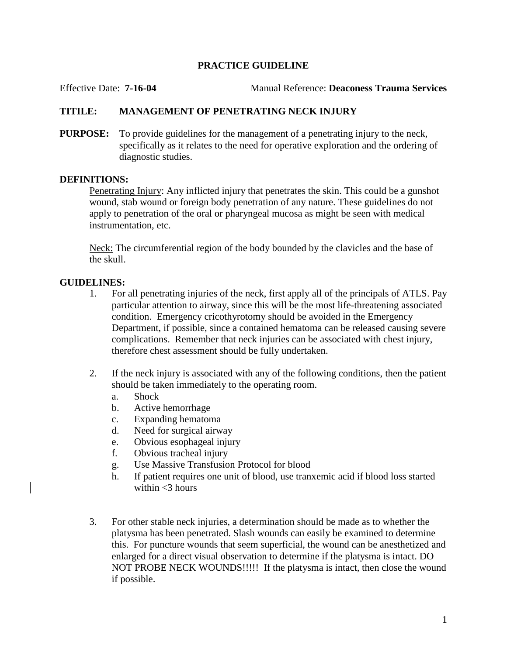## **PRACTICE GUIDELINE**

Effective Date: **7-16-04** Manual Reference: **Deaconess Trauma Services**

# **TITILE: MANAGEMENT OF PENETRATING NECK INJURY**

**PURPOSE:** To provide guidelines for the management of a penetrating injury to the neck, specifically as it relates to the need for operative exploration and the ordering of diagnostic studies.

#### **DEFINITIONS:**

Penetrating Injury: Any inflicted injury that penetrates the skin. This could be a gunshot wound, stab wound or foreign body penetration of any nature. These guidelines do not apply to penetration of the oral or pharyngeal mucosa as might be seen with medical instrumentation, etc.

Neck: The circumferential region of the body bounded by the clavicles and the base of the skull.

## **GUIDELINES:**

- 1. For all penetrating injuries of the neck, first apply all of the principals of ATLS. Pay particular attention to airway, since this will be the most life-threatening associated condition. Emergency cricothyrotomy should be avoided in the Emergency Department, if possible, since a contained hematoma can be released causing severe complications. Remember that neck injuries can be associated with chest injury, therefore chest assessment should be fully undertaken.
- 2. If the neck injury is associated with any of the following conditions, then the patient should be taken immediately to the operating room.
	- a. Shock
	- b. Active hemorrhage
	- c. Expanding hematoma
	- d. Need for surgical airway
	- e. Obvious esophageal injury
	- f. Obvious tracheal injury
	- g. Use Massive Transfusion Protocol for blood
	- h. If patient requires one unit of blood, use tranxemic acid if blood loss started within  $<$ 3 hours
- 3. For other stable neck injuries, a determination should be made as to whether the platysma has been penetrated. Slash wounds can easily be examined to determine this. For puncture wounds that seem superficial, the wound can be anesthetized and enlarged for a direct visual observation to determine if the platysma is intact. DO NOT PROBE NECK WOUNDS!!!!! If the platysma is intact, then close the wound if possible.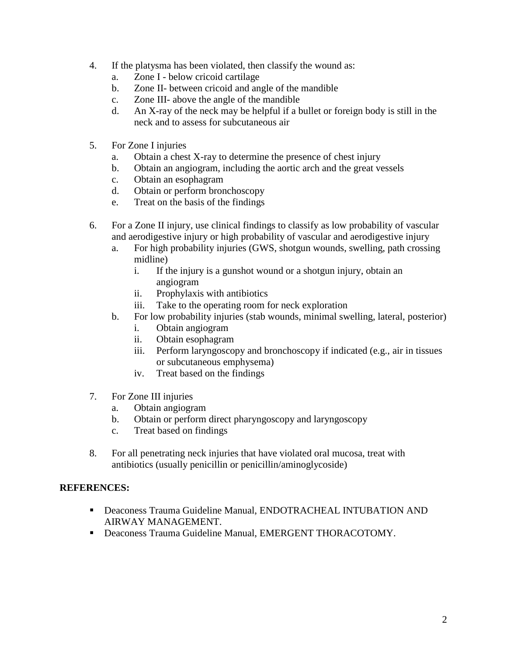- 4. If the platysma has been violated, then classify the wound as:
	- a. Zone I below cricoid cartilage
	- b. Zone II- between cricoid and angle of the mandible
	- c. Zone III- above the angle of the mandible
	- d. An X-ray of the neck may be helpful if a bullet or foreign body is still in the neck and to assess for subcutaneous air
- 5. For Zone I injuries
	- a. Obtain a chest X-ray to determine the presence of chest injury
	- b. Obtain an angiogram, including the aortic arch and the great vessels
	- c. Obtain an esophagram
	- d. Obtain or perform bronchoscopy
	- e. Treat on the basis of the findings
- 6. For a Zone II injury, use clinical findings to classify as low probability of vascular and aerodigestive injury or high probability of vascular and aerodigestive injury
	- a. For high probability injuries (GWS, shotgun wounds, swelling, path crossing midline)
		- i. If the injury is a gunshot wound or a shotgun injury, obtain an angiogram
		- ii. Prophylaxis with antibiotics
		- iii. Take to the operating room for neck exploration
	- b. For low probability injuries (stab wounds, minimal swelling, lateral, posterior)
		- i. Obtain angiogram
		- ii. Obtain esophagram
		- iii. Perform laryngoscopy and bronchoscopy if indicated (e.g., air in tissues or subcutaneous emphysema)
		- iv. Treat based on the findings
- 7. For Zone III injuries
	- a. Obtain angiogram
	- b. Obtain or perform direct pharyngoscopy and laryngoscopy
	- c. Treat based on findings
- 8. For all penetrating neck injuries that have violated oral mucosa, treat with antibiotics (usually penicillin or penicillin/aminoglycoside)

## **REFERENCES:**

- Deaconess Trauma Guideline Manual, ENDOTRACHEAL INTUBATION AND AIRWAY MANAGEMENT.
- Deaconess Trauma Guideline Manual, EMERGENT THORACOTOMY.